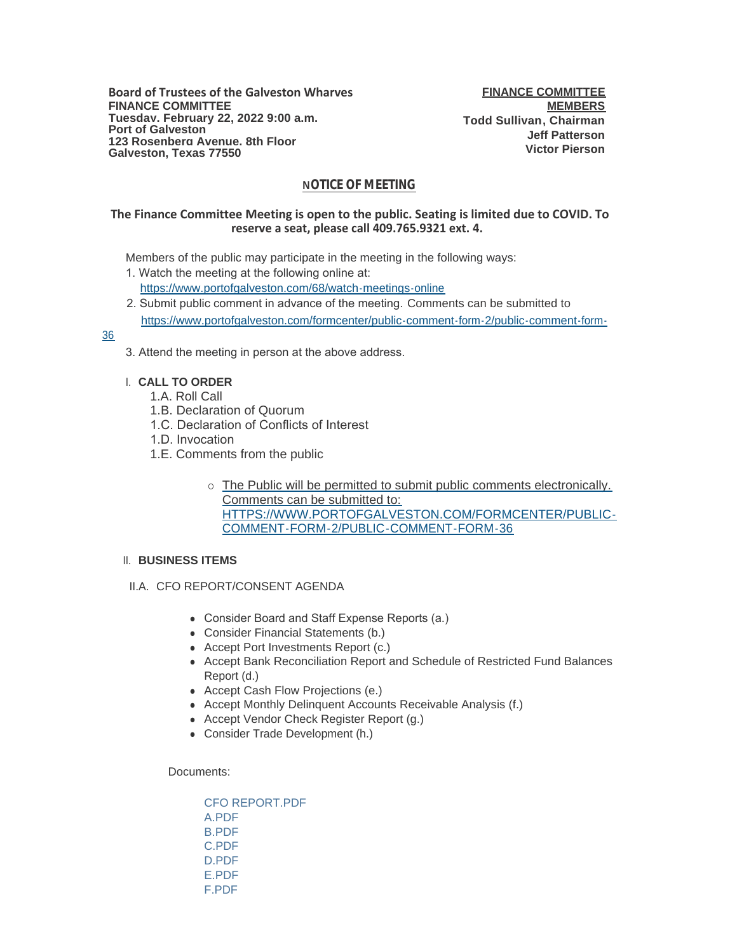**Board of Trustees of the Galveston Wharves FINANCE COMMITTEE Tuesday, February 22, 2022 9:00 a.m. Port of Galveston 123 Rosenberg Avenue, 8th Floor Galveston, Texas 77550**

**FINANCE COMMITTEE MEMBERS Todd Sullivan, Chairman Jeff Patterson Victor Pierson**

# **NOTICE OF MEETING**

### **The Finance Committee Meeting is open to the public. Seating is limited due to COVID. To reserve a seat, please call 409.765.9321 ext. 4.**

Members of the public may participate in the meeting in the following ways:

- 1. Watch the meeting at the following online at: [https://www.portofgalveston.com/68/watch-meetings-online](https://www.portofgalveston.com/68/Watch-Meetings-Online)
- 2. Submit public comment in advance of the meeting. Comments can be submitted to [https://www.portofgalveston.com/formcenter/public-comment-form-2/public-comment-form-](https://www.portofgalveston.com/formcenter/public-comment-form-2/public-comment-form-36)

### 36

3. Attend the meeting in person at the above address.

# **CALL TO ORDER** I.

- 1.A. Roll Call
- 1.B. Declaration of Quorum
- 1.C. Declaration of Conflicts of Interest
- 1.D. Invocation
- 1.E. Comments from the public
	- o The Public will be permitted to submit public comments electronically. Comments can be submitted to: HTTPS://WWW.PORTOFGALVESTON.COM/FORMCENTER/PUBLIC-COMMENT-FORM-2/PUBLIC-COMMENT-FORM-36

# **BUSINESS ITEMS**  II.

- II.A. CFO REPORT/CONSENT AGENDA
	- Consider Board and Staff Expense Reports (a.)
	- Consider Financial Statements (b.)
	- Accept Port Investments Report (c.)
	- Accept Bank Reconciliation Report and Schedule of Restricted Fund Balances Report (d.)
	- Accept Cash Flow Projections (e.)
	- Accept Monthly Delinquent Accounts Receivable Analysis (f.)
	- Accept Vendor Check Register Report (g.)
	- Consider Trade Development (h.)

### Documents:

[CFO REPORT.PDF](https://www.portofgalveston.com/AgendaCenter/ViewFile/Item/4688?fileID=8342) [A.PDF](https://www.portofgalveston.com/AgendaCenter/ViewFile/Item/4688?fileID=8343) [B.PDF](https://www.portofgalveston.com/AgendaCenter/ViewFile/Item/4688?fileID=8344) [C.PDF](https://www.portofgalveston.com/AgendaCenter/ViewFile/Item/4688?fileID=8345) [D.PDF](https://www.portofgalveston.com/AgendaCenter/ViewFile/Item/4688?fileID=8346) [E.PDF](https://www.portofgalveston.com/AgendaCenter/ViewFile/Item/4688?fileID=8347) [F.PDF](https://www.portofgalveston.com/AgendaCenter/ViewFile/Item/4688?fileID=8348)